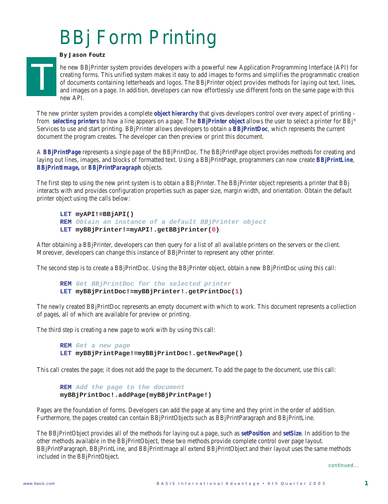## BBj Form Printing

## *By Jason Foutz*

T

he new BBjPrinter system provides developers with a powerful new Application Programming Interface (API) for creating forms. This unified system makes it easy to add images to forms and simplifies the programmatic creation of documents containing letterheads and logos. The BBjPrinter object provides methods for laying out text, lines, and images on a page. In addition, developers can now effortlessly use different fonts on the same page with this new API.

The new printer system provides a complete *object hierarchy* that gives developers control over every aspect of printing from *selecting printers* to how a line appears on a page. The *BBjPrinter object* allows the user to select a printer for BBj® Services to use and start printing. BBjPrinter allows developers to obtain a *BBjPrintDoc*, which represents the current document the program creates. The developer can then preview or print this document.

A *BBjPrintPage* represents a single page of the BBjPrintDoc. The BBjPrintPage object provides methods for creating and laying out lines, images, and blocks of formatted text. Using a BBjPrintPage, programmers can now create *BBjPrintLine*, *BBjPrintImage,* or *BBjPrintParagraph* objects.

The first step to using the new print system is to obtain a BBjPrinter. The BBjPrinter object represents a printer that BBj interacts with and provides configuration properties such as paper size, margin width, and orientation. Obtain the default printer object using the calls below:

```
LET myAPI!=BBjAPI()
REM Obtain an instance of a default BBjPrinter object
LET myBBjPrinter!=myAPI!.getBBjPrinter(0)
```
After obtaining a BBjPrinter, developers can then query for a list of all available printers on the servers or the client. Moreover, developers can change this instance of BBjPrinter to represent any other printer.

The second step is to create a BBjPrintDoc. Using the BBjPrinter object, obtain a new BBjPrintDoc using this call:

```
REM Get BBjPrintDoc for the selected printer
LET myBBjPrintDoc!=myBBjPrinter!.getPrintDoc(1)
```
The newly created BBjPrintDoc represents an empty document with which to work. This document represents a collection of pages, all of which are available for preview or printing.

The third step is creating a new page to work with by using this call:

```
REM Get a new page
LET myBBjPrintPage!=myBBjPrintDoc!.getNewPage()
```
This call creates the page; it does not add the page to the document. To add the page to the document, use this call:

**REM Add the page to the document myBBjPrintDoc!.addPage(myBBjPrintPage!)**

Pages are the foundation of forms. Developers can add the page at any time and they print in the order of addition. Furthermore, the pages created can contain BBjPrintObjects such as BBjPrintParagraph and BBjPrintLine.

The BBjPrintObject provides all of the methods for laying out a page, such as *setPosition* and *setSize*. In addition to the other methods available in the BBjPrintObject, these two methods provide complete control over page layout. BBjPrintParagraph, BBjPrintLine, and BBjPrintImage all extend BBjPrintObject and their layout uses the same methods included in the BBjPrintObject.

*continued...*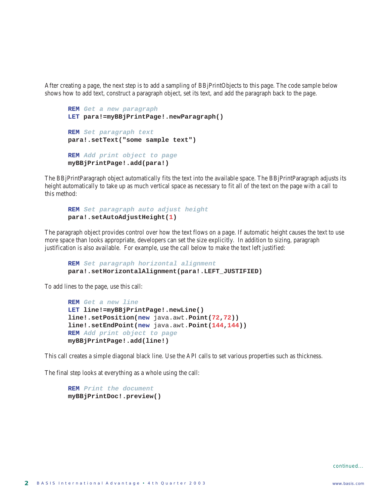After creating a page, the next step is to add a sampling of BBjPrintObjects to this page. The code sample below shows how to add text, construct a paragraph object, set its text, and add the paragraph back to the page.

```
REM Get a new paragraph
LET para!=myBBjPrintPage!.newParagraph()
REM Set paragraph text
para!.setText("some sample text")
REM Add print object to page
myBBjPrintPage!.add(para!)
```
The BBjPrintParagraph object automatically fits the text into the available space. The BBjPrintParagraph adjusts its height automatically to take up as much vertical space as necessary to fit all of the text on the page with a call to this method:

```
REM Set paragraph auto adjust height
para!.setAutoAdjustHeight(1)
```
The paragraph object provides control over how the text flows on a page. If automatic height causes the text to use more space than looks appropriate, developers can set the size explicitly. In addition to sizing, paragraph justification is also available. For example, use the call below to make the text left justified:

```
REM Set paragraph horizontal alignment
para!.setHorizontalAlignment(para!.LEFT_JUSTIFIED)
```
To add lines to the page, use this call:

```
REM Get a new line
LET line!=myBBjPrintPage!.newLine()
line!.setPosition(new java.awt.Point(72,72))
line!.setEndPoint(new java.awt.Point(144,144))
REM Add print object to page
myBBjPrintPage!.add(line!)
```
This call creates a simple diagonal black line. Use the API calls to set various properties such as thickness.

The final step looks at everything as a whole using the call:

**REM Print the document myBBjPrintDoc!.preview()**